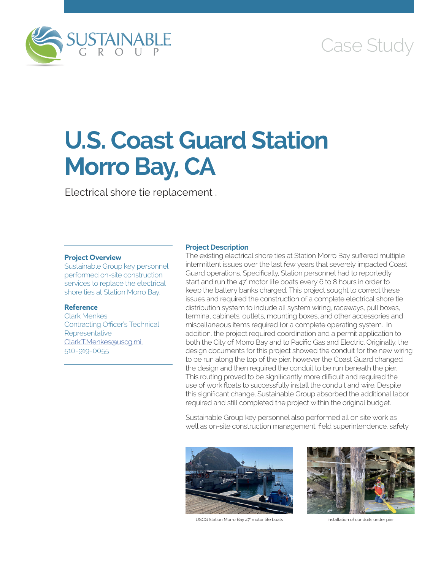

## Case Study

# **U.S. Coast Guard Station Morro Bay, CA**

Electrical shore tie replacement .

### **Project Overview**

Sustainable Group key personnel performed on-site construction services to replace the electrical shore ties at Station Morro Bay.

#### **Reference**

Clark Menkes Contracting Officer's Technical **Representative** [Clark.T.Menkes@uscg.mil](mailto:Clark.T.Menkes@uscg.mil) 510-919-0055

#### **Project Description**

The existing electrical shore ties at Station Morro Bay suffered multiple intermittent issues over the last few years that severely impacted Coast Guard operations. Specifically, Station personnel had to reportedly start and run the 47' motor life boats every 6 to 8 hours in order to keep the battery banks charged. This project sought to correct these issues and required the construction of a complete electrical shore tie distribution system to include all system wiring, raceways, pull boxes, terminal cabinets, outlets, mounting boxes, and other accessories and miscellaneous items required for a complete operating system. In addition, the project required coordination and a permit application to both the City of Morro Bay and to Pacific Gas and Electric. Originally, the design documents for this project showed the conduit for the new wiring to be run along the top of the pier, however the Coast Guard changed the design and then required the conduit to be run beneath the pier. This routing proved to be significantly more difficult and required the use of work floats to successfully install the conduit and wire. Despite this significant change, Sustainable Group absorbed the additional labor required and still completed the project within the original budget.

Sustainable Group key personnel also performed all on site work as well as on-site construction management, field superintendence, safety



USCG Station Morro Bay 47' motor life boats Installation of conduits under pier